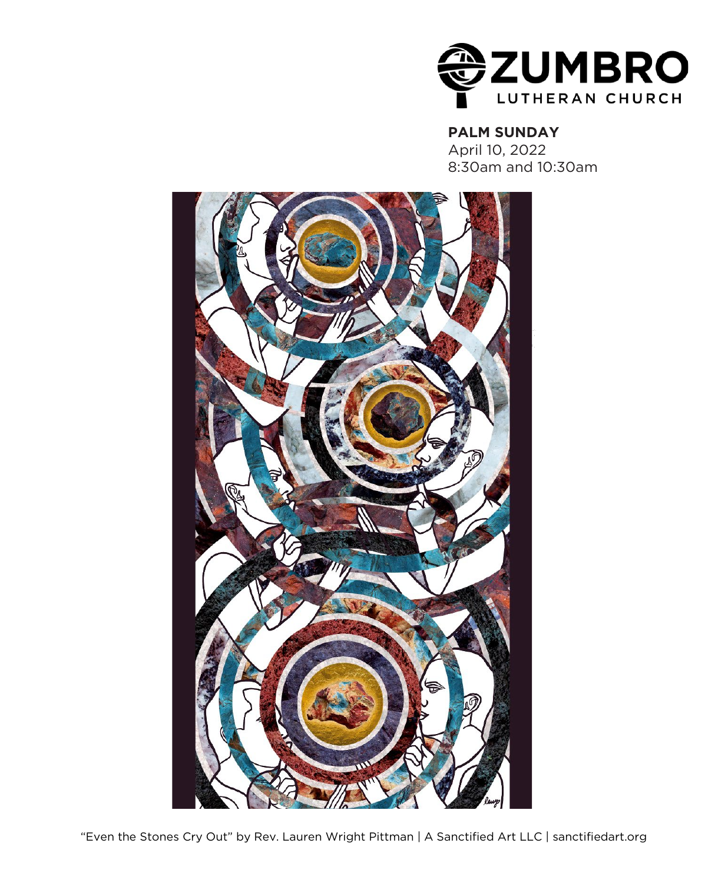

### **PALM SUNDAY**

April 10, 2022 8:30am and 10:30am



"Even the Stones Cry Out" by Rev. Lauren Wright Pittman | A Sanctified Art LLC | sanctifiedart.org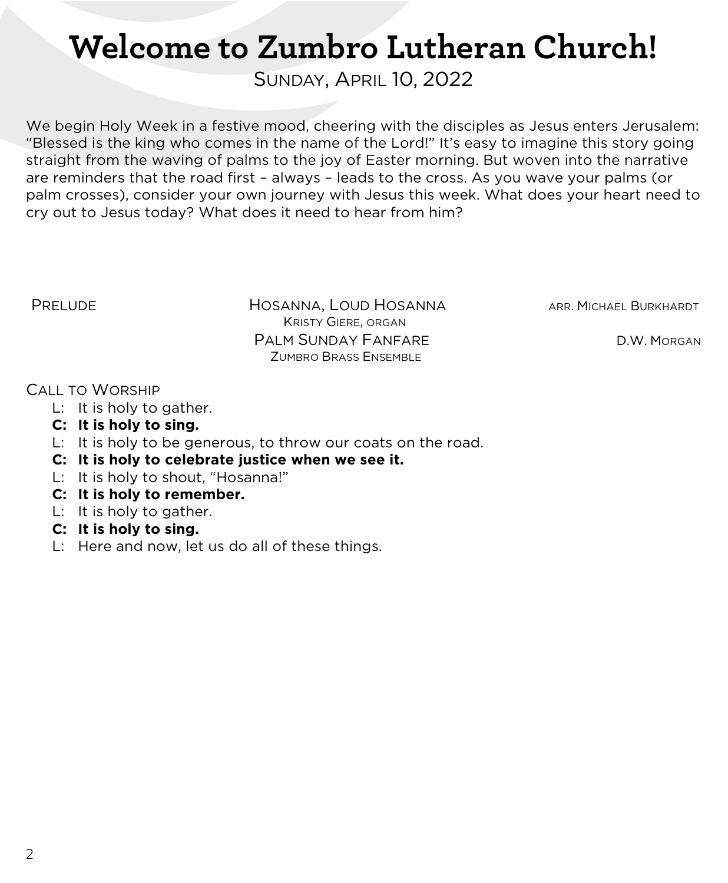# **Welcome to Zumbro Lutheran Church!**

SUNDAY, APRIL 10, 2022

We begin Holy Week in a festive mood, cheering with the disciples as Jesus enters Jerusalem: "Blessed is the king who comes in the name of the Lord!" It's easy to imagine this story going straight from the waving of palms to the joy of Easter morning. But woven into the narrative are reminders that the road first – always – leads to the cross. As you wave your palms (or palm crosses), consider your own journey with Jesus this week. What does your heart need to cry out to Jesus today? What does it need to hear from him?

**PRELUDE THE HOSANNA, LOUD HOSANNA** ARR. MICHAEL BURKHARDT KRISTY GIERE, ORGAN PALM SUNDAY FANFARE D.W. MORGAN ZUMBRO BRASS ENSEMBLE

#### CALL TO WORSHIP

- L: It is holy to gather.
- **C: It is holy to sing.**
- L: It is holy to be generous, to throw our coats on the road.
- **C: It is holy to celebrate justice when we see it.**
- L: It is holy to shout, "Hosanna!"
- **C: It is holy to remember.**
- L: It is holy to gather.
- **C: It is holy to sing.**
- L: Here and now, let us do all of these things.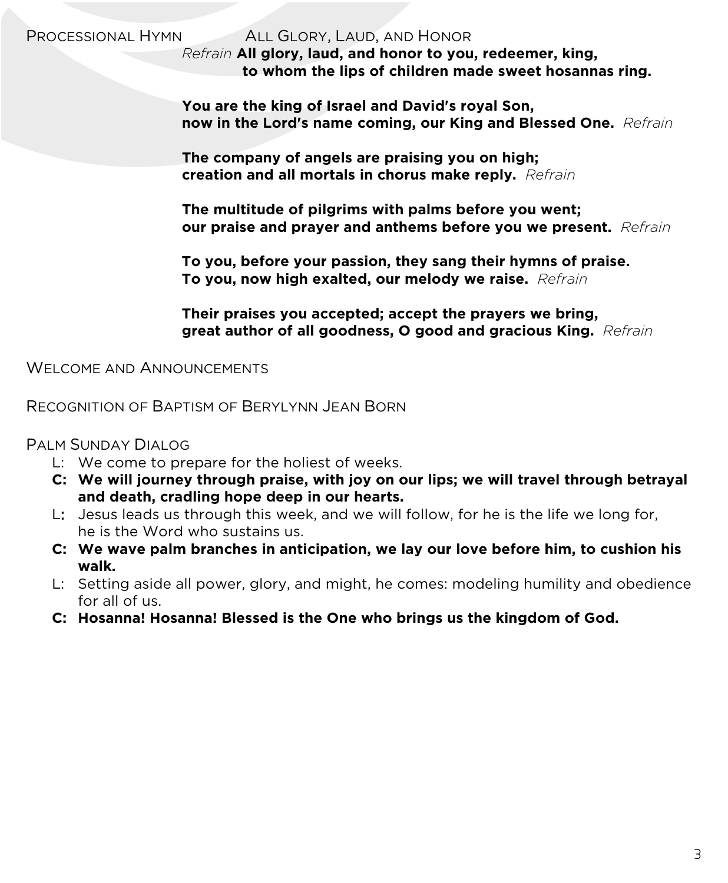PROCESSIONAL HYMN ALL GLORY, LAUD, AND HONOR

*Refrain* **All glory, laud, and honor to you, redeemer, king, to whom the lips of children made sweet hosannas ring.**

 **You are the king of Israel and David's royal Son, now in the Lord's name coming, our King and Blessed One.** *Refrain*

 **The company of angels are praising you on high; creation and all mortals in chorus make reply.** *Refrain*

 **The multitude of pilgrims with palms before you went; our praise and prayer and anthems before you we present.** *Refrain*

 **To you, before your passion, they sang their hymns of praise. To you, now high exalted, our melody we raise.** *Refrain*

 **Their praises you accepted; accept the prayers we bring, great author of all goodness, O good and gracious King.** *Refrain*

WELCOME AND ANNOUNCEMENTS

RECOGNITION OF BAPTISM OF BERYLYNN JEAN BORN

PALM SUNDAY DIALOG

- L: We come to prepare for the holiest of weeks.
- **C: We will journey through praise, with joy on our lips; we will travel through betrayal and death, cradling hope deep in our hearts.**
- L: Jesus leads us through this week, and we will follow, for he is the life we long for, he is the Word who sustains us.
- **C: We wave palm branches in anticipation, we lay our love before him, to cushion his walk.**
- L: Setting aside all power, glory, and might, he comes: modeling humility and obedience for all of us.
- **C: Hosanna! Hosanna! Blessed is the One who brings us the kingdom of God.**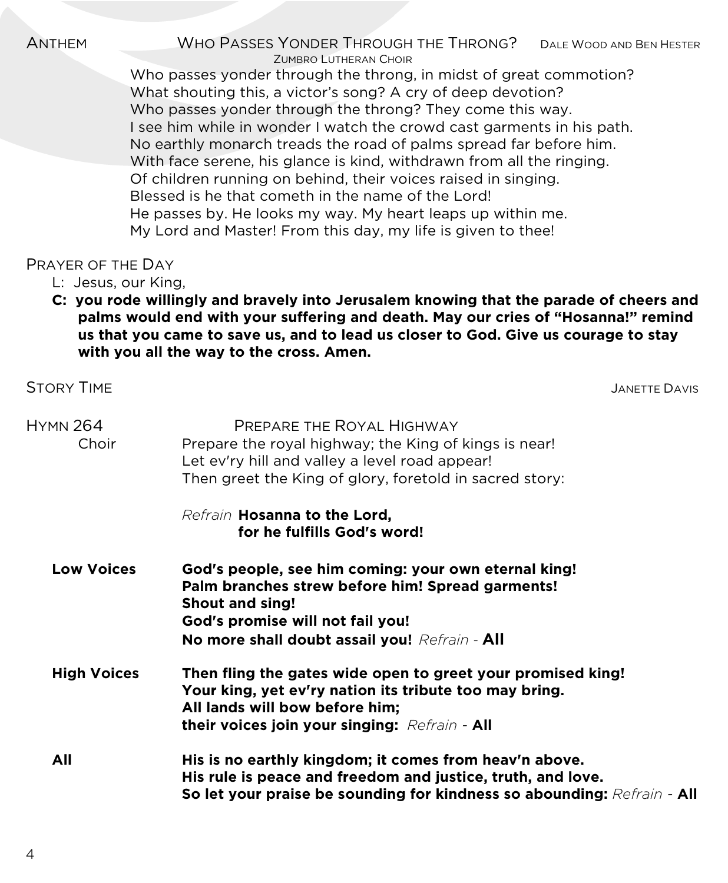ANTHEM WHO PASSES YONDER THROUGH THE THRONG? DALE WOOD AND BEN HESTER ZUMBRO LUTHERAN CHOIR

Who passes yonder through the throng, in midst of great commotion? What shouting this, a victor's song? A cry of deep devotion? Who passes yonder through the throng? They come this way. I see him while in wonder I watch the crowd cast garments in his path. No earthly monarch treads the road of palms spread far before him. With face serene, his glance is kind, withdrawn from all the ringing. Of children running on behind, their voices raised in singing. Blessed is he that cometh in the name of the Lord! He passes by. He looks my way. My heart leaps up within me. My Lord and Master! From this day, my life is given to thee!

### PRAYER OF THE DAY

- L: Jesus, our King,
- **C: you rode willingly and bravely into Jerusalem knowing that the parade of cheers and palms would end with your suffering and death. May our cries of "Hosanna!" remind us that you came to save us, and to lead us closer to God. Give us courage to stay with you all the way to the cross. Amen.**

| <b>STORY TIME</b>        | <b>JANETTE DAVIS</b>                                                                                                                                                                                                    |  |
|--------------------------|-------------------------------------------------------------------------------------------------------------------------------------------------------------------------------------------------------------------------|--|
| <b>HYMN 264</b><br>Choir | PREPARE THE ROYAL HIGHWAY<br>Prepare the royal highway; the King of kings is near!<br>Let ev'ry hill and valley a level road appear!<br>Then greet the King of glory, foretold in sacred story:                         |  |
|                          | Refrain Hosanna to the Lord,<br>for he fulfills God's word!                                                                                                                                                             |  |
| <b>Low Voices</b>        | God's people, see him coming: your own eternal king!<br>Palm branches strew before him! Spread garments!<br><b>Shout and sing!</b><br>God's promise will not fail you!<br>No more shall doubt assail you! Refrain - All |  |
| <b>High Voices</b>       | Then fling the gates wide open to greet your promised king!<br>Your king, yet ev'ry nation its tribute too may bring.<br>All lands will bow before him;<br>their voices join your singing: Refrain - All                |  |
| All                      | His is no earthly kingdom; it comes from heav'n above.<br>His rule is peace and freedom and justice, truth, and love.<br>So let your praise be sounding for kindness so abounding: Refrain - All                        |  |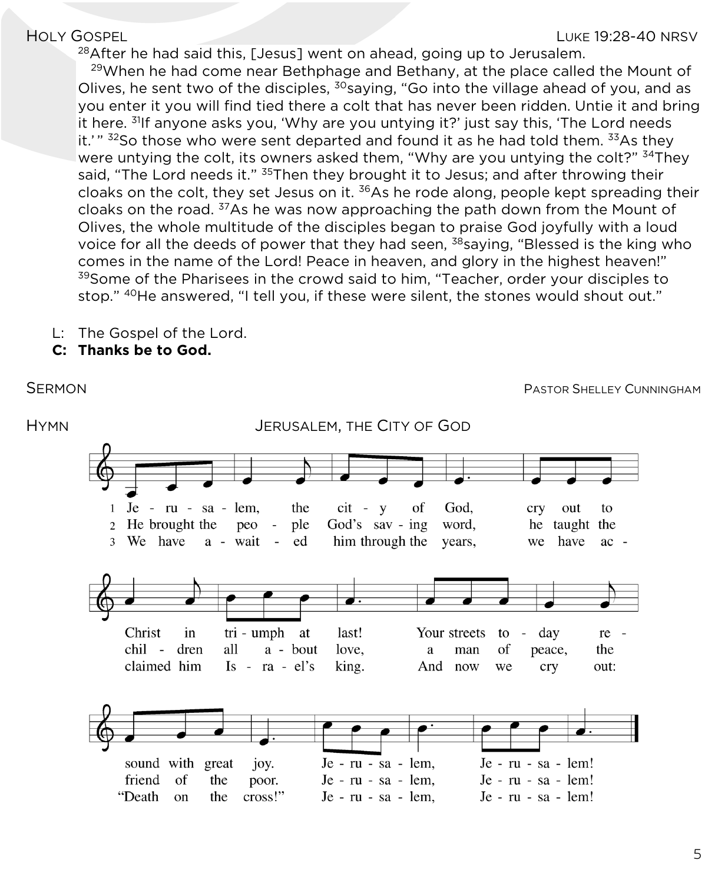$^{28}$ After he had said this, [Jesus] went on ahead, going up to Jerusalem.

 $29$ When he had come near Bethphage and Bethany, at the place called the Mount of Olives, he sent two of the disciples,  $30$ saying, "Go into the village ahead of you, and as you enter it you will find tied there a colt that has never been ridden. Untie it and bring it here.  $31$ <sup>I</sup>f anyone asks you, 'Why are you untying it?' just say this, 'The Lord needs it.'" <sup>32</sup>So those who were sent departed and found it as he had told them. <sup>33</sup>As they were untying the colt, its owners asked them, "Why are you untying the colt?" <sup>34</sup>They said, "The Lord needs it." <sup>35</sup>Then they brought it to Jesus; and after throwing their cloaks on the colt, they set Jesus on it.  $36$ As he rode along, people kept spreading their cloaks on the road. 37As he was now approaching the path down from the Mount of Olives, the whole multitude of the disciples began to praise God joyfully with a loud voice for all the deeds of power that they had seen, <sup>38</sup>saying, "Blessed is the king who comes in the name of the Lord! Peace in heaven, and glory in the highest heaven!" <sup>39</sup>Some of the Pharisees in the crowd said to him, "Teacher, order your disciples to stop." 40He answered, "I tell you, if these were silent, the stones would shout out."

- L: The Gospel of the Lord.
- **C: Thanks be to God.**

HYMN JERUSALEM, THE CITY OF GOD $Je - ru - sa - lem.$ the  $cit - v$ of God.  $\mathbf{1}$ cry out to 2 He brought the God's say -  $\text{ing}$ peo ple word. he taught the 3 We have a - wait ed him through the years, we have  $ac -$ 



SERMON **SERMON PASTOR SHELLEY CUNNINGHAM**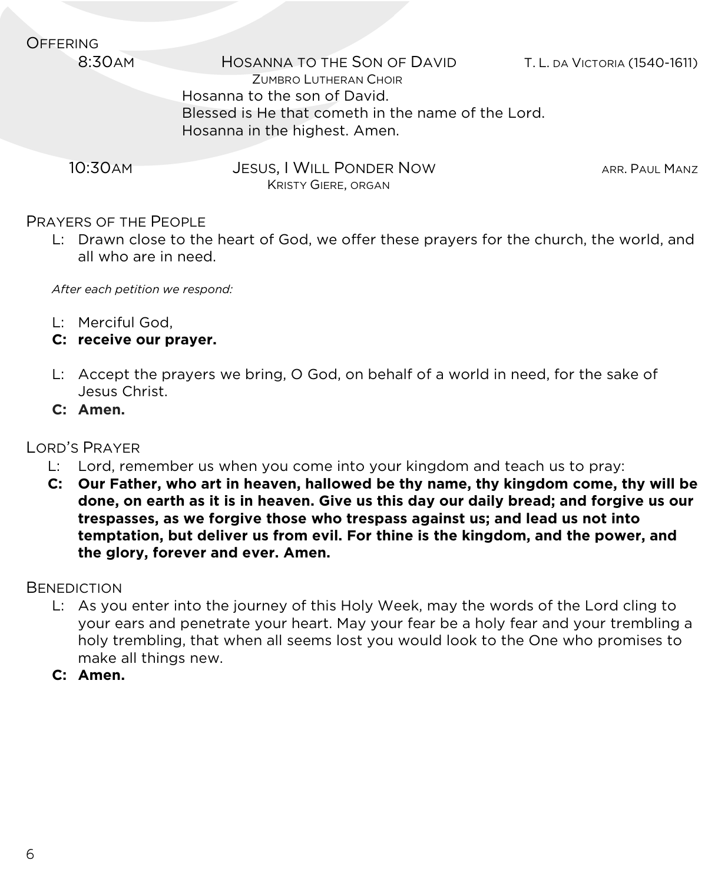| <b>OFFERING</b> |                                                      |                               |
|-----------------|------------------------------------------------------|-------------------------------|
| 8:30AM          | HOSANNA TO THE SON OF DAVID<br>ZUMBRO LUTHERAN CHOIR | T. L. da Victoria (1540-1611) |
|                 | Hosanna to the son of David.                         |                               |
|                 | Blessed is He that cometh in the name of the Lord.   |                               |
|                 | Hosanna in the highest. Amen.                        |                               |
| 10:30 AM        | JESUS, I WILL PONDER NOW                             | ARR. PAUL MANZ                |
|                 | <b>KRISTY GIERE, ORGAN</b>                           |                               |

#### PRAYERS OF THE PEOPLE

L: Drawn close to the heart of God, we offer these prayers for the church, the world, and all who are in need.

*After each petition we respond:*

- L: Merciful God,
- **C: receive our prayer.**
- L: Accept the prayers we bring, O God, on behalf of a world in need, for the sake of Jesus Christ.
- **C: Amen.**

### LORD'S PRAYER

- L: Lord, remember us when you come into your kingdom and teach us to pray:
- **C: Our Father, who art in heaven, hallowed be thy name, thy kingdom come, thy will be done, on earth as it is in heaven. Give us this day our daily bread; and forgive us our trespasses, as we forgive those who trespass against us; and lead us not into temptation, but deliver us from evil. For thine is the kingdom, and the power, and the glory, forever and ever. Amen.**

#### **BENEDICTION**

- L: As you enter into the journey of this Holy Week, may the words of the Lord cling to your ears and penetrate your heart. May your fear be a holy fear and your trembling a holy trembling, that when all seems lost you would look to the One who promises to make all things new.
- **C: Amen.**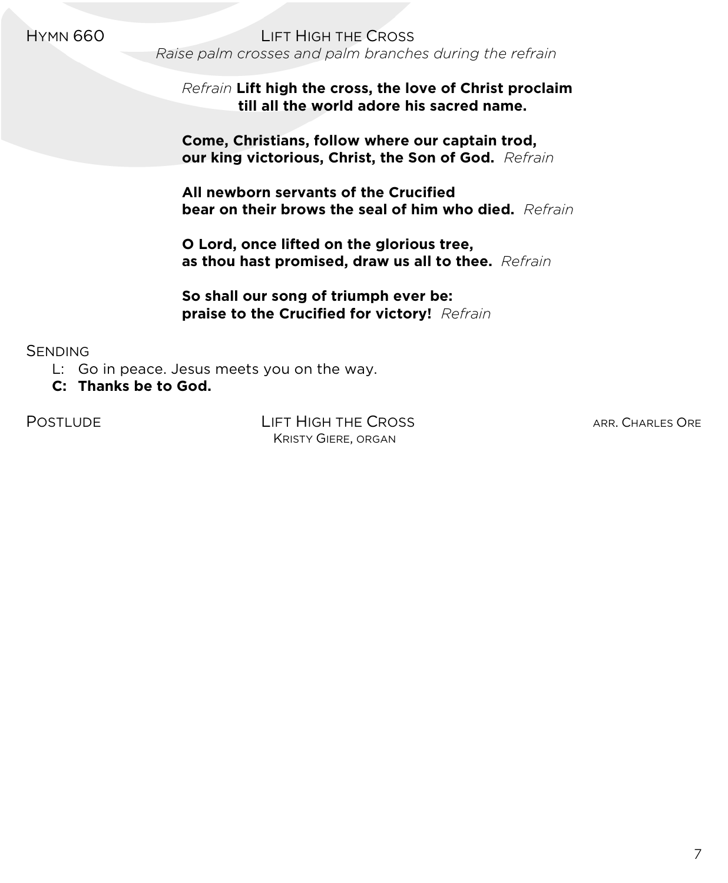HYMN 660 LIFT HIGH THE CROSS *Raise palm crosses and palm branches during the refrain*

> *Refrain* **Lift high the cross, the love of Christ proclaim till all the world adore his sacred name.**

 **Come, Christians, follow where our captain trod, our king victorious, Christ, the Son of God.** *Refrain*

**All newborn servants of the Crucified bear on their brows the seal of him who died.** *Refrain*

 **O Lord, once lifted on the glorious tree, as thou hast promised, draw us all to thee.** *Refrain*

 **So shall our song of triumph ever be: praise to the Crucified for victory!** *Refrain*

**SENDING** 

- L: Go in peace. Jesus meets you on the way.
- **C: Thanks be to God.**

POSTLUDE LIFT HIGH THE CROSS ARR. CHARLES ORE KRISTY GIERE, ORGAN